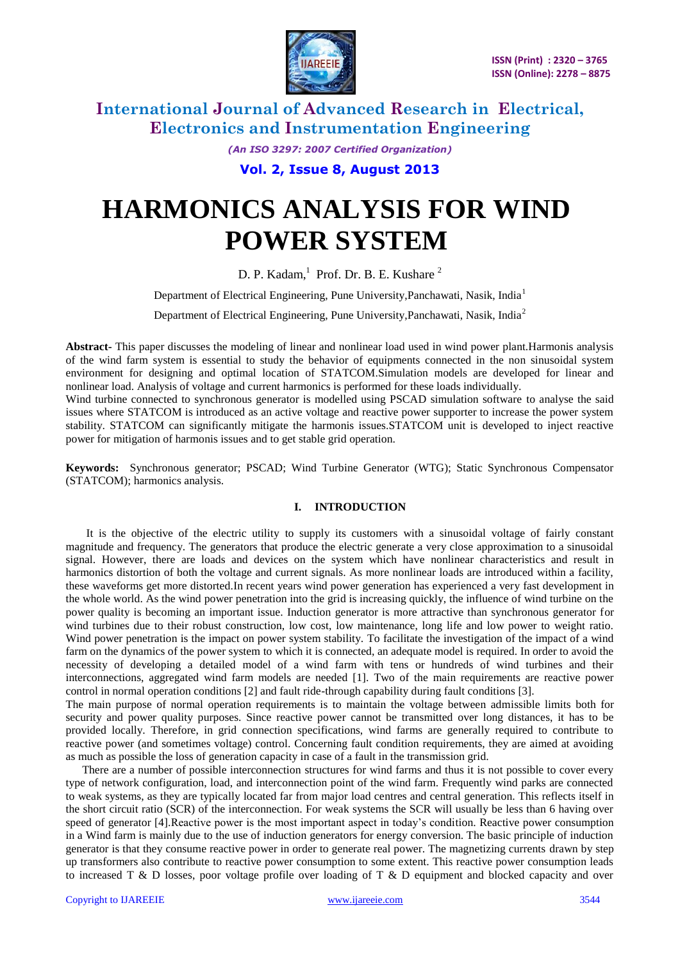

> *(An ISO 3297: 2007 Certified Organization)* **Vol. 2, Issue 8, August 2013**

# **HARMONICS ANALYSIS FOR WIND POWER SYSTEM**

D. P. Kadam,<sup>1</sup> Prof. Dr. B. E. Kushare<sup>2</sup>

Department of Electrical Engineering, Pune University, Panchawati, Nasik, India<sup>1</sup>

Department of Electrical Engineering, Pune University,Panchawati, Nasik, India<sup>2</sup>

**Abstract-** This paper discusses the modeling of linear and nonlinear load used in wind power plant.Harmonis analysis of the wind farm system is essential to study the behavior of equipments connected in the non sinusoidal system environment for designing and optimal location of STATCOM.Simulation models are developed for linear and nonlinear load. Analysis of voltage and current harmonics is performed for these loads individually.

Wind turbine connected to synchronous generator is modelled using PSCAD simulation software to analyse the said issues where STATCOM is introduced as an active voltage and reactive power supporter to increase the power system stability. STATCOM can significantly mitigate the harmonis issues.STATCOM unit is developed to inject reactive power for mitigation of harmonis issues and to get stable grid operation.

**Keywords:** Synchronous generator; PSCAD; Wind Turbine Generator (WTG); Static Synchronous Compensator (STATCOM); harmonics analysis.

### **I. INTRODUCTION**

It is the objective of the electric utility to supply its customers with a sinusoidal voltage of fairly constant magnitude and frequency. The generators that produce the electric generate a very close approximation to a sinusoidal signal. However, there are loads and devices on the system which have nonlinear characteristics and result in harmonics distortion of both the voltage and current signals. As more nonlinear loads are introduced within a facility, these waveforms get more distorted.In recent years wind power generation has experienced a very fast development in the whole world. As the wind power penetration into the grid is increasing quickly, the influence of wind turbine on the power quality is becoming an important issue. Induction generator is more attractive than synchronous generator for wind turbines due to their robust construction, low cost, low maintenance, long life and low power to weight ratio. Wind power penetration is the impact on power system stability. To facilitate the investigation of the impact of a wind farm on the dynamics of the power system to which it is connected, an adequate model is required. In order to avoid the necessity of developing a detailed model of a wind farm with tens or hundreds of wind turbines and their interconnections, aggregated wind farm models are needed [1]. Two of the main requirements are reactive power control in normal operation conditions [2] and fault ride-through capability during fault conditions [3].

The main purpose of normal operation requirements is to maintain the voltage between admissible limits both for security and power quality purposes. Since reactive power cannot be transmitted over long distances, it has to be provided locally. Therefore, in grid connection specifications, wind farms are generally required to contribute to reactive power (and sometimes voltage) control. Concerning fault condition requirements, they are aimed at avoiding as much as possible the loss of generation capacity in case of a fault in the transmission grid.

There are a number of possible interconnection structures for wind farms and thus it is not possible to cover every type of network configuration, load, and interconnection point of the wind farm. Frequently wind parks are connected to weak systems, as they are typically located far from major load centres and central generation. This reflects itself in the short circuit ratio (SCR) of the interconnection. For weak systems the SCR will usually be less than 6 having over speed of generator [4].Reactive power is the most important aspect in today's condition. Reactive power consumption in a Wind farm is mainly due to the use of induction generators for energy conversion. The basic principle of induction generator is that they consume reactive power in order to generate real power. The magnetizing currents drawn by step up transformers also contribute to reactive power consumption to some extent. This reactive power consumption leads to increased T & D losses, poor voltage profile over loading of T & D equipment and blocked capacity and over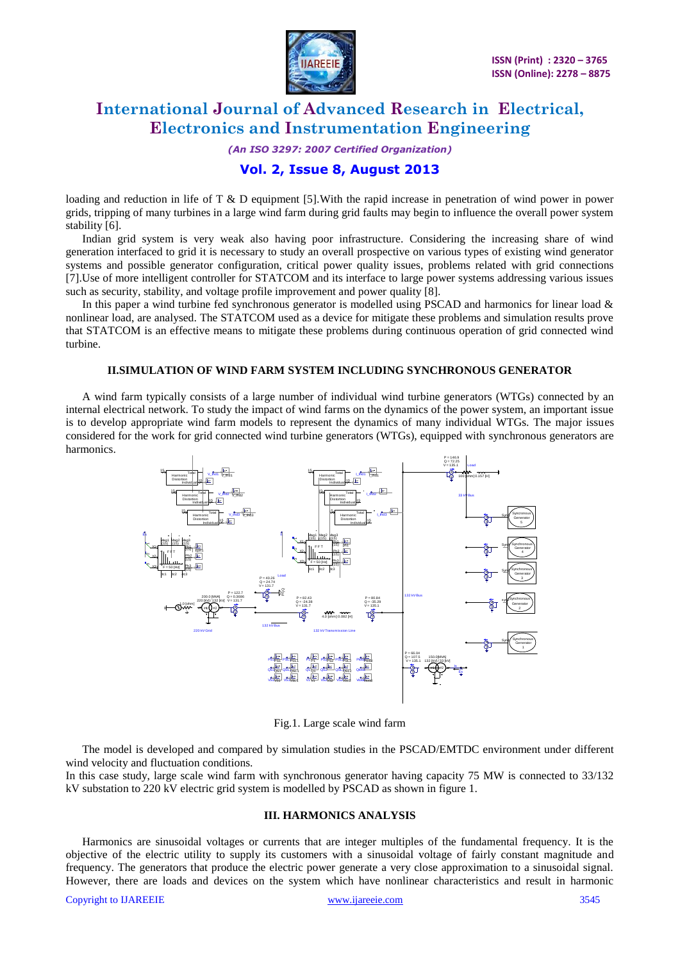

*(An ISO 3297: 2007 Certified Organization)*

### **Vol. 2, Issue 8, August 2013**

loading and reduction in life of  $T \& D$  equipment [5]. With the rapid increase in penetration of wind power in power grids, tripping of many turbines in a large wind farm during grid faults may begin to influence the overall power system stability [6].

Indian grid system is very weak also having poor infrastructure. Considering the increasing share of wind generation interfaced to grid it is necessary to study an overall prospective on various types of existing wind generator systems and possible generator configuration, critical power quality issues, problems related with grid connections [7].Use of more intelligent controller for STATCOM and its interface to large power systems addressing various issues such as security, stability, and voltage profile improvement and power quality [8].

In this paper a wind turbine fed synchronous generator is modelled using PSCAD and harmonics for linear load & nonlinear load, are analysed. The STATCOM used as a device for mitigate these problems and simulation results prove that STATCOM is an effective means to mitigate these problems during continuous operation of grid connected wind turbine.

### **II.SIMULATION OF WIND FARM SYSTEM INCLUDING SYNCHRONOUS GENERATOR**

A wind farm typically consists of a large number of individual wind turbine generators (WTGs) connected by an internal electrical network. To study the impact of wind farms on the dynamics of the power system, an important issue is to develop appropriate wind farm models to represent the dynamics of many individual WTGs. The major issues considered for the work for grid connected wind turbine generators (WTGs), equipped with synchronous generators are harmonics.



Fig.1. Large scale wind farm

The model is developed and compared by simulation studies in the PSCAD/EMTDC environment under different wind velocity and fluctuation conditions.

In this case study, large scale wind farm with synchronous generator having capacity 75 MW is connected to 33/132 kV substation to 220 kV electric grid system is modelled by PSCAD as shown in figure 1.

#### **III. HARMONICS ANALYSIS**

Harmonics are sinusoidal voltages or currents that are integer multiples of the fundamental frequency. It is the objective of the electric utility to supply its customers with a sinusoidal voltage of fairly constant magnitude and frequency. The generators that produce the electric power generate a very close approximation to a sinusoidal signal. However, there are loads and devices on the system which have nonlinear characteristics and result in harmonic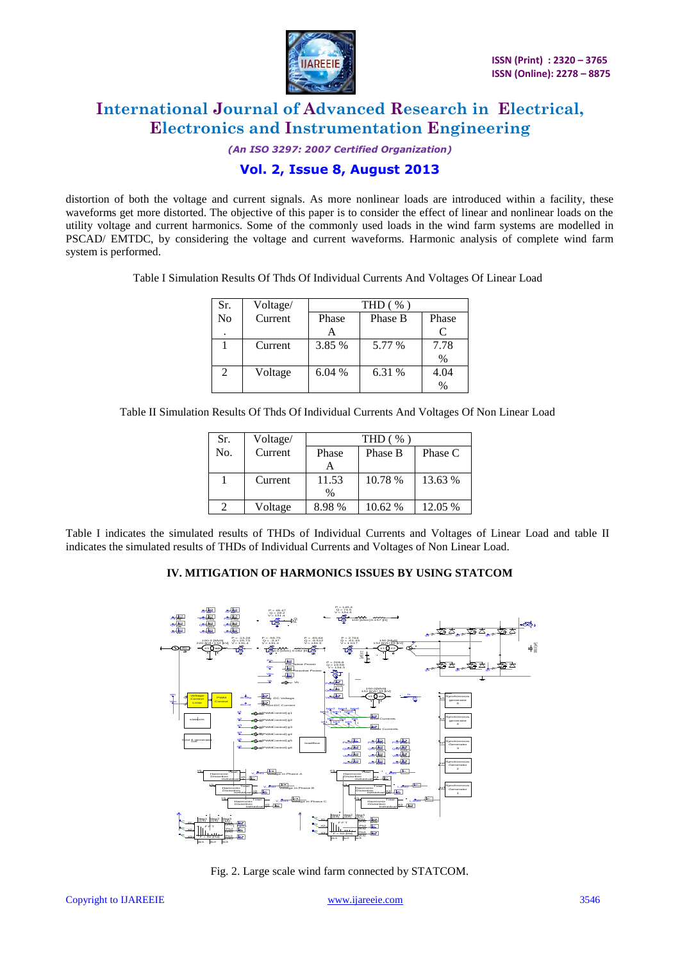

*(An ISO 3297: 2007 Certified Organization)*

### **Vol. 2, Issue 8, August 2013**

distortion of both the voltage and current signals. As more nonlinear loads are introduced within a facility, these waveforms get more distorted. The objective of this paper is to consider the effect of linear and nonlinear loads on the utility voltage and current harmonics. Some of the commonly used loads in the wind farm systems are modelled in PSCAD/ EMTDC, by considering the voltage and current waveforms. Harmonic analysis of complete wind farm system is performed.

|  |  | Table I Simulation Results Of Thds Of Individual Currents And Voltages Of Linear Load |  |  |
|--|--|---------------------------------------------------------------------------------------|--|--|
|--|--|---------------------------------------------------------------------------------------|--|--|

| Sr.            | Voltage/ | THD $(\% )$ |         |           |
|----------------|----------|-------------|---------|-----------|
| N <sub>0</sub> | Current  | Phase       | Phase B | Phase     |
| $\cdot$        |          |             |         | $\subset$ |
|                | Current  | 3.85 %      | 5.77 %  | 7.78      |
|                |          |             |         | $\%$      |
| $\mathfrak{D}$ | Voltage  | 6.04%       | 6.31 %  | 4.04      |
|                |          |             |         | $\%$      |

Table II Simulation Results Of Thds Of Individual Currents And Voltages Of Non Linear Load

| Sr. | Voltage/ | THD (%) |         |         |
|-----|----------|---------|---------|---------|
| No. | Current  | Phase   | Phase B | Phase C |
|     |          |         |         |         |
|     | Current  | 11.53   | 10.78 % | 13.63 % |
|     |          | $\%$    |         |         |
|     | Voltage  | 8.98%   | 10.62 % | 12.05 % |
|     |          |         |         |         |

Table I indicates the simulated results of THDs of Individual Currents and Voltages of Linear Load and table II indicates the simulated results of THDs of Individual Currents and Voltages of Non Linear Load.

### **IV. MITIGATION OF HARMONICS ISSUES BY USING STATCOM**



Fig. 2. Large scale wind farm connected by STATCOM.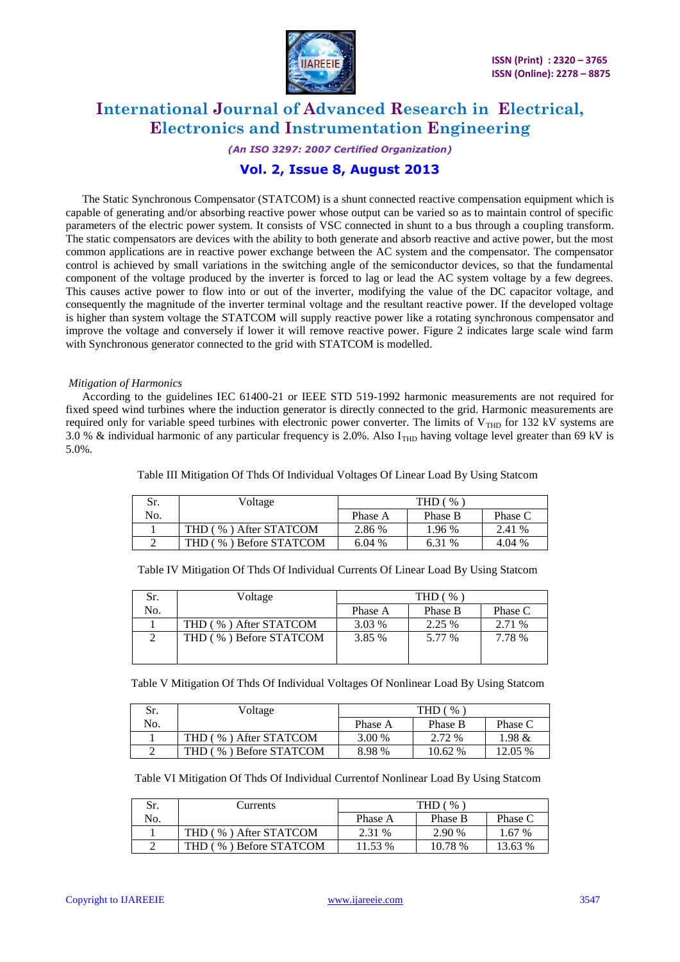

### *(An ISO 3297: 2007 Certified Organization)*

### **Vol. 2, Issue 8, August 2013**

The Static Synchronous Compensator (STATCOM) is a shunt connected reactive compensation equipment which is capable of generating and/or absorbing reactive power whose output can be varied so as to maintain control of specific parameters of the electric power system. It consists of VSC connected in shunt to a bus through a coupling transform. The static compensators are devices with the ability to both generate and absorb reactive and active power, but the most common applications are in reactive power exchange between the AC system and the compensator. The compensator control is achieved by small variations in the switching angle of the semiconductor devices, so that the fundamental component of the voltage produced by the inverter is forced to lag or lead the AC system voltage by a few degrees. This causes active power to flow into or out of the inverter, modifying the value of the DC capacitor voltage, and consequently the magnitude of the inverter terminal voltage and the resultant reactive power. If the developed voltage is higher than system voltage the STATCOM will supply reactive power like a rotating synchronous compensator and improve the voltage and conversely if lower it will remove reactive power. Figure 2 indicates large scale wind farm with Synchronous generator connected to the grid with STATCOM is modelled.

### *Mitigation of Harmonics*

According to the guidelines IEC 61400-21 or IEEE STD 519-1992 harmonic measurements are not required for fixed speed wind turbines where the induction generator is directly connected to the grid. Harmonic measurements are required only for variable speed turbines with electronic power converter. The limits of  $V<sub>THD</sub>$  for 132 kV systems are 3.0 % & individual harmonic of any particular frequency is 2.0%. Also  $I_{\text{THD}}$  having voltage level greater than 69 kV is 5.0%.

| Sr. | Voltage                    | THD (<br>$\%$ |         |         |
|-----|----------------------------|---------------|---------|---------|
| No. |                            | Phase A       | Phase B | Phase C |
|     | THD (<br>%) After STATCOM  | 2.86 %        | 1.96 %  | 2.41 %  |
|     | %) Before STATCOM<br>THD ( | 6.04 %        | 6.31 %  | 4.04 %  |

Table III Mitigation Of Thds Of Individual Voltages Of Linear Load By Using Statcom

|  | Table IV Mitigation Of Thds Of Individual Currents Of Linear Load By Using Statcom |  |
|--|------------------------------------------------------------------------------------|--|
|  |                                                                                    |  |

| Sr. | Voltage                   | THD $($ % |         |         |
|-----|---------------------------|-----------|---------|---------|
| No. |                           | Phase A   | Phase B | Phase C |
|     | %) After STATCOM<br>THD ( | 3.03 %    | 2.25 %  | 2.71 %  |
|     | THD (%) Before STATCOM    | 3.85 %    | 5.77 %  | 7.78 %  |

Table V Mitigation Of Thds Of Individual Voltages Of Nonlinear Load By Using Statcom

| Sr. | Voltage                          | THD<br>$\%$ |         |           |
|-----|----------------------------------|-------------|---------|-----------|
| No. |                                  | Phase A     | Phase B | Phase C   |
|     | THD (<br>%) After STATCOM        | 3.00 %      | 2.72 %  | $1.98 \&$ |
|     | ) Before STATCOM<br>THD.<br>$\%$ | 8.98 %      | 10.62 % | 12.05 %   |

Table VI Mitigation Of Thds Of Individual Currentof Nonlinear Load By Using Statcom

| Sr. | Currents                                     | $\%$<br>THD |         |          |
|-----|----------------------------------------------|-------------|---------|----------|
| No. |                                              | Phase A     | Phase B | Phase C  |
|     | %) After STATCOM<br>THD                      | 2.31 %      | 2.90 %  | $.67\%$  |
|     | ) Before STATCOM<br>$\%$<br>THD <sub>1</sub> | 1.53 %      | 10.78 % | $3.63\%$ |